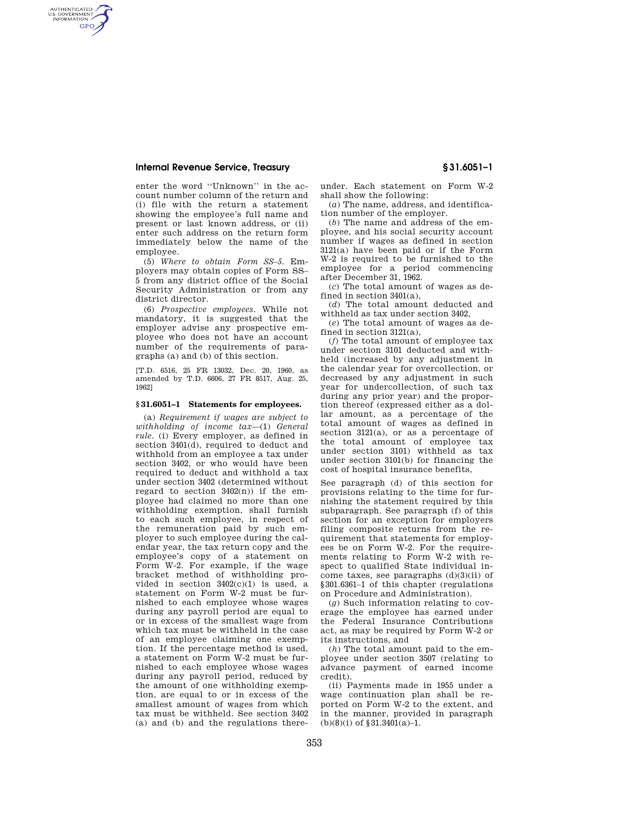AUTHENTICATED<br>U.S. GOVERNMENT<br>INFORMATION **GPO** 

> enter the word ''Unknown'' in the account number column of the return and (i) file with the return a statement showing the employee's full name and present or last known address, or (ii) enter such address on the return form immediately below the name of the employee.

> (5) *Where to obtain Form SS–5.* Employers may obtain copies of Form SS– 5 from any district office of the Social Security Administration or from any district director.

> (6) *Prospective employees.* While not mandatory, it is suggested that the employer advise any prospective employee who does not have an account number of the requirements of paragraphs (a) and (b) of this section.

> [T.D. 6516, 25 FR 13032, Dec. 20, 1960, as amended by T.D. 6606, 27 FR 8517, Aug. 25, 1962]

#### **§ 31.6051–1 Statements for employees.**

(a) *Requirement if wages are subject to withholding of income tax*—(1) *General rule.* (i) Every employer, as defined in section 3401(d), required to deduct and withhold from an employee a tax under section 3402, or who would have been required to deduct and withhold a tax under section 3402 (determined without regard to section  $3402(n)$  if the employee had claimed no more than one withholding exemption, shall furnish to each such employee, in respect of the remuneration paid by such employer to such employee during the calendar year, the tax return copy and the employee's copy of a statement on Form W-2. For example, if the wage bracket method of withholding provided in section  $3402(c)(1)$  is used, a statement on Form W-2 must be furnished to each employee whose wages during any payroll period are equal to or in excess of the smallest wage from which tax must be withheld in the case of an employee claiming one exemption. If the percentage method is used, a statement on Form W-2 must be furnished to each employee whose wages during any payroll period, reduced by the amount of one withholding exemption, are equal to or in excess of the smallest amount of wages from which tax must be withheld. See section 3402 (a) and (b) and the regulations thereunder. Each statement on Form W-2 shall show the following:

(*a*) The name, address, and identification number of the employer.

(*b*) The name and address of the employee, and his social security account number if wages as defined in section 3121(a) have been paid or if the Form W-2 is required to be furnished to the employee for a period commencing after December 31, 1962.

(*c*) The total amount of wages as defined in section 3401(a),

(*d*) The total amount deducted and withheld as tax under section 3402,

(*e*) The total amount of wages as defined in section 3121(a),

(*f*) The total amount of employee tax under section 3101 deducted and withheld (increased by any adjustment in the calendar year for overcollection, or decreased by any adjustment in such year for undercollection, of such tax during any prior year) and the proportion thereof (expressed either as a dollar amount, as a percentage of the total amount of wages as defined in section 3121(a), or as a percentage of the total amount of employee tax under section 3101) withheld as tax under section 3101(b) for financing the cost of hospital insurance benefits,

See paragraph (d) of this section for provisions relating to the time for furnishing the statement required by this subparagraph. See paragraph (f) of this section for an exception for employers filing composite returns from the requirement that statements for employees be on Form W-2. For the requirements relating to Form W-2 with respect to qualified State individual income taxes, see paragraphs  $(d)(3)(ii)$  of §301.6361–1 of this chapter (regulations on Procedure and Administration).

(*g*) Such information relating to coverage the employee has earned under the Federal Insurance Contributions act, as may be required by Form W-2 or its instructions, and

(*h*) The total amount paid to the employee under section 3507 (relating to advance payment of earned income credit).

(ii) Payments made in 1955 under a wage continuation plan shall be reported on Form W-2 to the extent, and in the manner, provided in paragraph  $(b)(8)(i)$  of §31.3401(a)-1.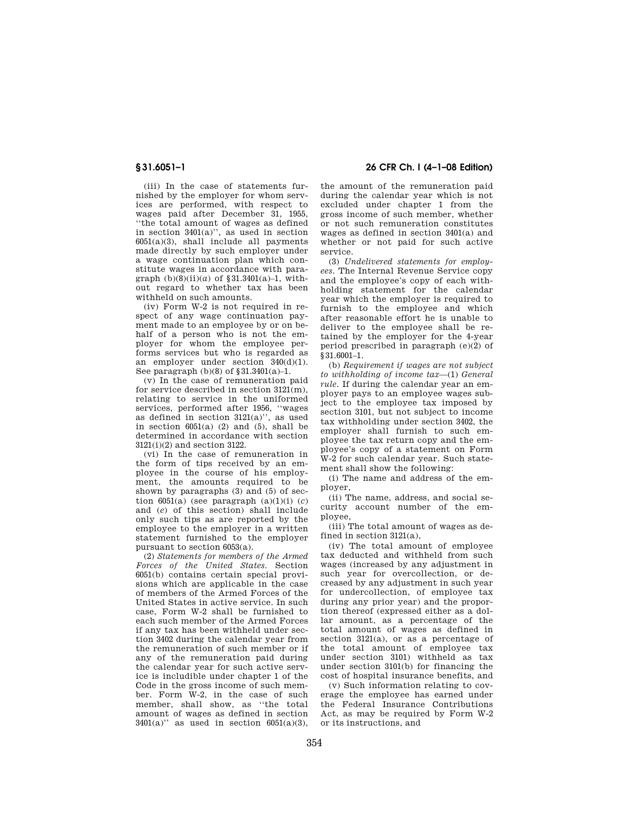(iii) In the case of statements furnished by the employer for whom services are performed, with respect to wages paid after December 31, 1955, ''the total amount of wages as defined in section 3401(a)'', as used in section  $6051(a)(3)$ , shall include all payments made directly by such employer under a wage continuation plan which constitute wages in accordance with paragraph  $(b)(8)(ii)(a)$  of §31.3401(a)-1, without regard to whether tax has been withheld on such amounts.

(iv) Form W-2 is not required in respect of any wage continuation payment made to an employee by or on behalf of a person who is not the employer for whom the employee performs services but who is regarded as an employer under section 340(d)(1). See paragraph  $(b)(8)$  of  $$31.3401(a)-1$ .

(v) In the case of remuneration paid for service described in section  $3121(m)$ , relating to service in the uniformed services, performed after 1956, ''wages as defined in section  $3121(a)$ ", as used in section  $6051(a)$  (2) and (5), shall be determined in accordance with section 3121(i)(2) and section 3122.

(vi) In the case of remuneration in the form of tips received by an employee in the course of his employment, the amounts required to be shown by paragraphs (3) and (5) of section  $6051(a)$  (see paragraph  $(a)(1)(i)$   $(c)$ and (*e*) of this section) shall include only such tips as are reported by the employee to the employer in a written statement furnished to the employer pursuant to section 6053(a).

(2) *Statements for members of the Armed Forces of the United States.* Section 6051(b) contains certain special provisions which are applicable in the case of members of the Armed Forces of the United States in active service. In such case, Form W-2 shall be furnished to each such member of the Armed Forces if any tax has been withheld under section 3402 during the calendar year from the remuneration of such member or if any of the remuneration paid during the calendar year for such active service is includible under chapter 1 of the Code in the gross income of such member. Form W-2, in the case of such member, shall show, as "the total amount of wages as defined in section  $3401(a)$ " as used in section  $6051(a)(3)$ ,

**§ 31.6051–1 26 CFR Ch. I (4–1–08 Edition)** 

the amount of the remuneration paid during the calendar year which is not excluded under chapter 1 from the gross income of such member, whether or not such remuneration constitutes wages as defined in section 3401(a) and whether or not paid for such active service.

(3) *Undelivered statements for employees.* The Internal Revenue Service copy and the employee's copy of each withholding statement for the calendar year which the employer is required to furnish to the employee and which after reasonable effort he is unable to deliver to the employee shall be retained by the employer for the 4-year period prescribed in paragraph (e)(2) of §31.6001–1.

(b) *Requirement if wages are not subject to withholding of income tax*—(1) *General rule.* If during the calendar year an employer pays to an employee wages subject to the employee tax imposed by section 3101, but not subject to income tax withholding under section 3402, the employer shall furnish to such employee the tax return copy and the employee's copy of a statement on Form W-2 for such calendar year. Such statement shall show the following:

(i) The name and address of the employer,

(ii) The name, address, and social security account number of the employee,

(iii) The total amount of wages as defined in section 3121(a),

(iv) The total amount of employee tax deducted and withheld from such wages (increased by any adjustment in such year for overcollection, or decreased by any adjustment in such year for undercollection, of employee tax during any prior year) and the proportion thereof (expressed either as a dollar amount, as a percentage of the total amount of wages as defined in section 3121(a), or as a percentage of the total amount of employee tax under section 3101) withheld as tax under section 3101(b) for financing the cost of hospital insurance benefits, and

(v) Such information relating to coverage the employee has earned under the Federal Insurance Contributions Act, as may be required by Form W-2 or its instructions, and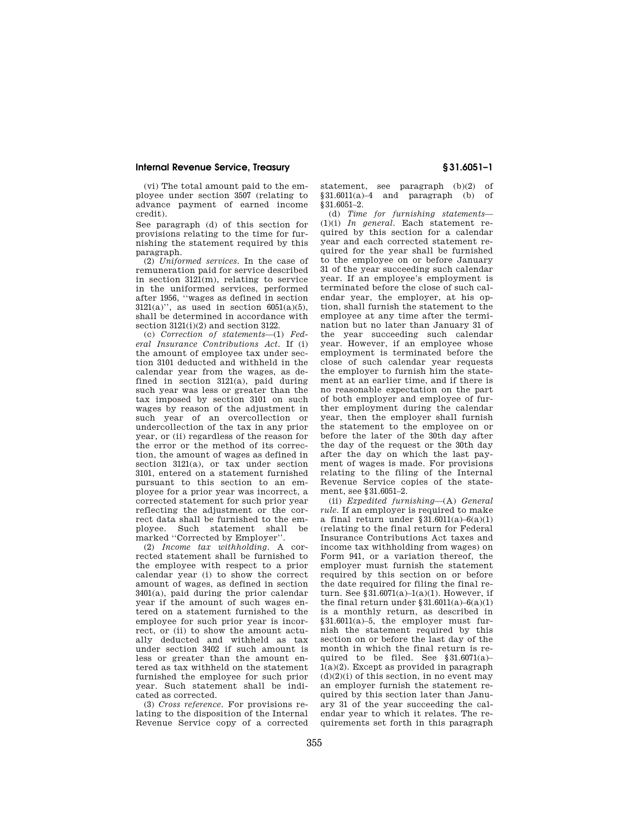(vi) The total amount paid to the employee under section 3507 (relating to advance payment of earned income credit).

See paragraph (d) of this section for provisions relating to the time for furnishing the statement required by this paragraph.

(2) *Uniformed services.* In the case of remuneration paid for service described in section 3121(m), relating to service in the uniformed services, performed after 1956, ''wages as defined in section  $3121(a)$ ", as used in section  $6051(a)(5)$ , shall be determined in accordance with section 3121(i)(2) and section 3122.

(c) *Correction of statements*—(1) *Federal Insurance Contributions Act.* If (i) the amount of employee tax under section 3101 deducted and withheld in the calendar year from the wages, as defined in section 3121(a), paid during such year was less or greater than the tax imposed by section 3101 on such wages by reason of the adjustment in such year of an overcollection or undercollection of the tax in any prior year, or (ii) regardless of the reason for the error or the method of its correction, the amount of wages as defined in section 3121(a), or tax under section 3101, entered on a statement furnished pursuant to this section to an employee for a prior year was incorrect, a corrected statement for such prior year reflecting the adjustment or the correct data shall be furnished to the employee. Such statement shall be marked ''Corrected by Employer''.

(2) *Income tax withholding.* A corrected statement shall be furnished to the employee with respect to a prior calendar year (i) to show the correct amount of wages, as defined in section 3401(a), paid during the prior calendar year if the amount of such wages entered on a statement furnished to the employee for such prior year is incorrect, or (ii) to show the amount actually deducted and withheld as tax under section 3402 if such amount is less or greater than the amount entered as tax withheld on the statement furnished the employee for such prior year. Such statement shall be indicated as corrected.

(3) *Cross reference.* For provisions relating to the disposition of the Internal Revenue Service copy of a corrected statement, see paragraph (b)(2) of  $§31.6011(a)-4$  and paragraph (b) of §31.6051–2.

(d) *Time for furnishing statements*— (1)(i) *In general.* Each statement required by this section for a calendar year and each corrected statement required for the year shall be furnished to the employee on or before January 31 of the year succeeding such calendar year. If an employee's employment is terminated before the close of such calendar year, the employer, at his option, shall furnish the statement to the employee at any time after the termination but no later than January 31 of the year succeeding such calendar year. However, if an employee whose employment is terminated before the close of such calendar year requests the employer to furnish him the statement at an earlier time, and if there is no reasonable expectation on the part of both employer and employee of further employment during the calendar year, then the employer shall furnish the statement to the employee on or before the later of the 30th day after the day of the request or the 30th day after the day on which the last payment of wages is made. For provisions relating to the filing of the Internal Revenue Service copies of the statement, see §31.6051–2.

(ii) *Expedited furnishing*—(A) *General rule.* If an employer is required to make a final return under  $\sqrt{31.6011(a)-6(a)(1)}$ (relating to the final return for Federal Insurance Contributions Act taxes and income tax withholding from wages) on Form 941, or a variation thereof, the employer must furnish the statement required by this section on or before the date required for filing the final return. See §31.6071(a)–1(a)(1). However, if the final return under  $§ 31.6011(a) - 6(a)(1)$ is a monthly return, as described in §31.6011(a)–5, the employer must furnish the statement required by this section on or before the last day of the month in which the final return is required to be filed. See  $§31.6071(a)$ -1(a)(2). Except as provided in paragraph  $(d)(2)(i)$  of this section, in no event may an employer furnish the statement required by this section later than January 31 of the year succeeding the calendar year to which it relates. The requirements set forth in this paragraph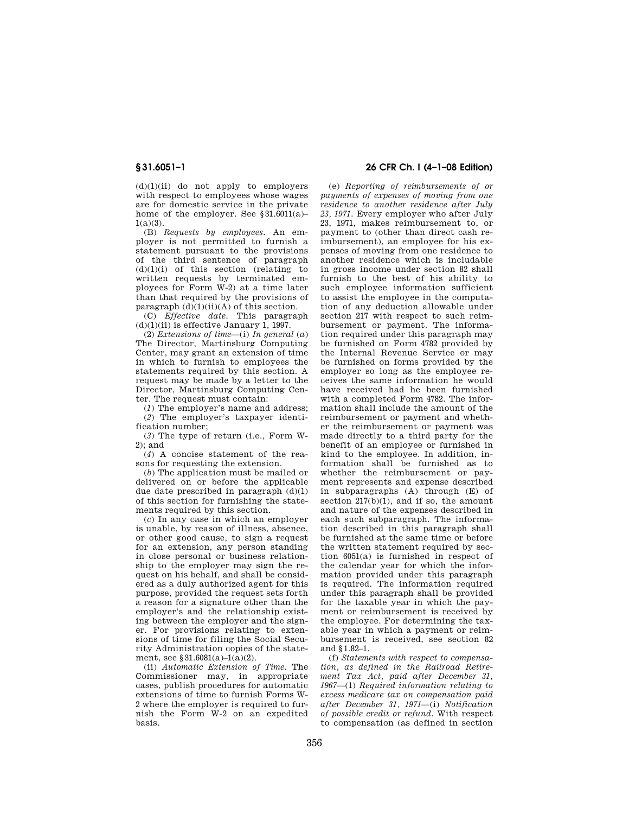$(d)(1)(ii)$  do not apply to employers with respect to employees whose wages are for domestic service in the private home of the employer. See §31.6011(a)–  $1(a)(3)$ .

(B) *Requests by employees.* An employer is not permitted to furnish a statement pursuant to the provisions of the third sentence of paragraph (d)(1)(i) of this section (relating to written requests by terminated employees for Form W-2) at a time later than that required by the provisions of paragraph  $(d)(1)(ii)(A)$  of this section.

(C) *Effective date.* This paragraph  $(d)(1)(ii)$  is effective January 1, 1997.

(2) *Extensions of time*—(i) *In general* (*a*) The Director, Martinsburg Computing Center, may grant an extension of time in which to furnish to employees the statements required by this section. A request may be made by a letter to the Director, Martinsburg Computing Center. The request must contain:

(*1*) The employer's name and address;

(*2*) The employer's taxpayer identification number;

(*3*) The type of return (i.e., Form W- $2$ ); and

(*4*) A concise statement of the reasons for requesting the extension.

(*b*) The application must be mailed or delivered on or before the applicable due date prescribed in paragraph  $(d)(1)$ of this section for furnishing the statements required by this section.

(*c*) In any case in which an employer is unable, by reason of illness, absence, or other good cause, to sign a request for an extension, any person standing in close personal or business relationship to the employer may sign the request on his behalf, and shall be considered as a duly authorized agent for this purpose, provided the request sets forth a reason for a signature other than the employer's and the relationship existing between the employer and the signer. For provisions relating to extensions of time for filing the Social Security Administration copies of the statement, see §31.6081(a)–1(a)(2).

(ii) *Automatic Extension of Time.* The Commissioner may, in appropriate cases, publish procedures for automatic extensions of time to furnish Forms W-2 where the employer is required to furnish the Form W-2 on an expedited basis.

# **§ 31.6051–1 26 CFR Ch. I (4–1–08 Edition)**

(e) *Reporting of reimbursements of or payments of expenses of moving from one residence to another residence after July 23, 1971.* Every employer who after July 23, 1971, makes reimbursement to, or payment to (other than direct cash reimbursement), an employee for his expenses of moving from one residence to another residence which is includable in gross income under section 82 shall furnish to the best of his ability to such employee information sufficient to assist the employee in the computation of any deduction allowable under section 217 with respect to such reimbursement or payment. The information required under this paragraph may be furnished on Form 4782 provided by the Internal Revenue Service or may be furnished on forms provided by the employer so long as the employee receives the same information he would have received had he been furnished with a completed Form 4782. The information shall include the amount of the reimbursement or payment and whether the reimbursement or payment was made directly to a third party for the benefit of an employee or furnished in kind to the employee. In addition, information shall be furnished as to whether the reimbursement or payment represents and expense described in subparagraphs (A) through (E) of section  $217(b)(1)$ , and if so, the amount and nature of the expenses described in each such subparagraph. The information described in this paragraph shall be furnished at the same time or before the written statement required by section 6051(a) is furnished in respect of the calendar year for which the information provided under this paragraph is required. The information required under this paragraph shall be provided for the taxable year in which the payment or reimbursement is received by the employee. For determining the taxable year in which a payment or reimbursement is received, see section 82 and §1.82–1.

(f) *Statements with respect to compensation, as defined in the Railroad Retirement Tax Act, paid after December 31, 1967*—(1) *Required information relating to excess medicare tax on compensation paid after December 31, 1971*—(i) *Notification of possible credit or refund.* With respect to compensation (as defined in section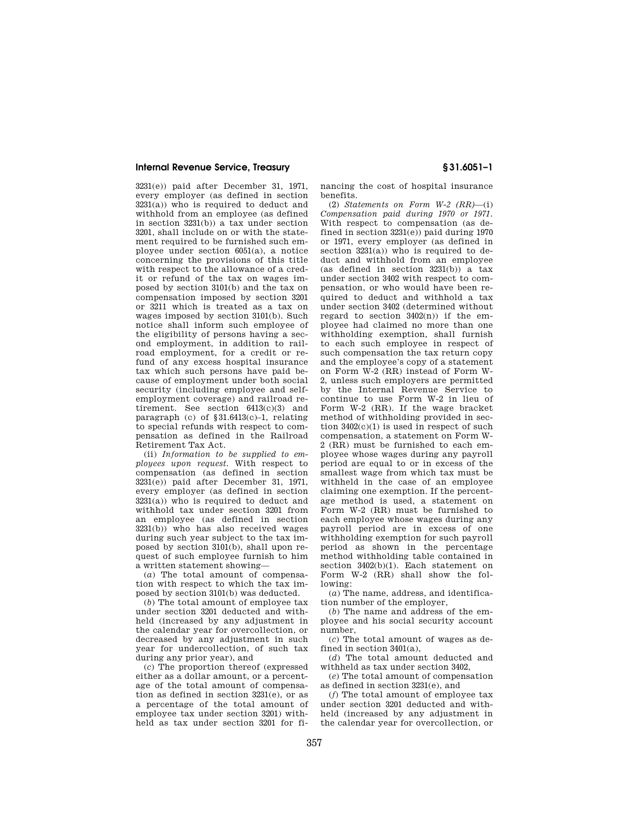3231(e)) paid after December 31, 1971, every employer (as defined in section  $3231(a)$ ) who is required to deduct and withhold from an employee (as defined in section 3231(b)) a tax under section 3201, shall include on or with the statement required to be furnished such employee under section 6051(a), a notice concerning the provisions of this title with respect to the allowance of a credit or refund of the tax on wages imposed by section 3101(b) and the tax on compensation imposed by section 3201 or 3211 which is treated as a tax on wages imposed by section 3101(b). Such notice shall inform such employee of the eligibility of persons having a second employment, in addition to railroad employment, for a credit or refund of any excess hospital insurance tax which such persons have paid because of employment under both social security (including employee and selfemployment coverage) and railroad retirement. See section 6413(c)(3) and paragraph (c) of §31.6413(c)–1, relating to special refunds with respect to compensation as defined in the Railroad Retirement Tax Act.

(ii) *Information to be supplied to employees upon request.* With respect to compensation (as defined in section 3231(e)) paid after December 31, 1971, every employer (as defined in section  $3231(a)$ ) who is required to deduct and withhold tax under section 3201 from an employee (as defined in section 3231(b)) who has also received wages during such year subject to the tax imposed by section 3101(b), shall upon request of such employee furnish to him a written statement showing—

(*a*) The total amount of compensation with respect to which the tax imposed by section 3101(b) was deducted.

(*b*) The total amount of employee tax under section 3201 deducted and withheld (increased by any adjustment in the calendar year for overcollection, or decreased by any adjustment in such year for undercollection, of such tax during any prior year), and

(*c*) The proportion thereof (expressed either as a dollar amount, or a percentage of the total amount of compensation as defined in section 3231(e), or as a percentage of the total amount of employee tax under section 3201) withheld as tax under section 3201 for financing the cost of hospital insurance benefits.

(2) *Statements on Form W-2 (RR)*—(i) *Compensation paid during 1970 or 1971.*  With respect to compensation (as defined in section 3231(e)) paid during 1970 or 1971, every employer (as defined in section  $3231(a)$ ) who is required to deduct and withhold from an employee (as defined in section 3231(b)) a tax under section 3402 with respect to compensation, or who would have been required to deduct and withhold a tax under section 3402 (determined without regard to section  $3402(n)$  if the employee had claimed no more than one withholding exemption, shall furnish to each such employee in respect of such compensation the tax return copy and the employee's copy of a statement on Form W-2 (RR) instead of Form W-2, unless such employers are permitted by the Internal Revenue Service to continue to use Form W-2 in lieu of Form W-2 (RR). If the wage bracket method of withholding provided in section  $3402(c)(1)$  is used in respect of such compensation, a statement on Form W-2 (RR) must be furnished to each employee whose wages during any payroll period are equal to or in excess of the smallest wage from which tax must be withheld in the case of an employee claiming one exemption. If the percentage method is used, a statement on Form W-2 (RR) must be furnished to each employee whose wages during any payroll period are in excess of one withholding exemption for such payroll period as shown in the percentage method withholding table contained in section 3402(b)(1). Each statement on Form W-2 (RR) shall show the following:

(*a*) The name, address, and identification number of the employer,

(*b*) The name and address of the employee and his social security account number,

(*c*) The total amount of wages as defined in section 3401(a),

(*d*) The total amount deducted and withheld as tax under section 3402,

(*e*) The total amount of compensation as defined in section 3231(e), and

(*f*) The total amount of employee tax under section 3201 deducted and withheld (increased by any adjustment in the calendar year for overcollection, or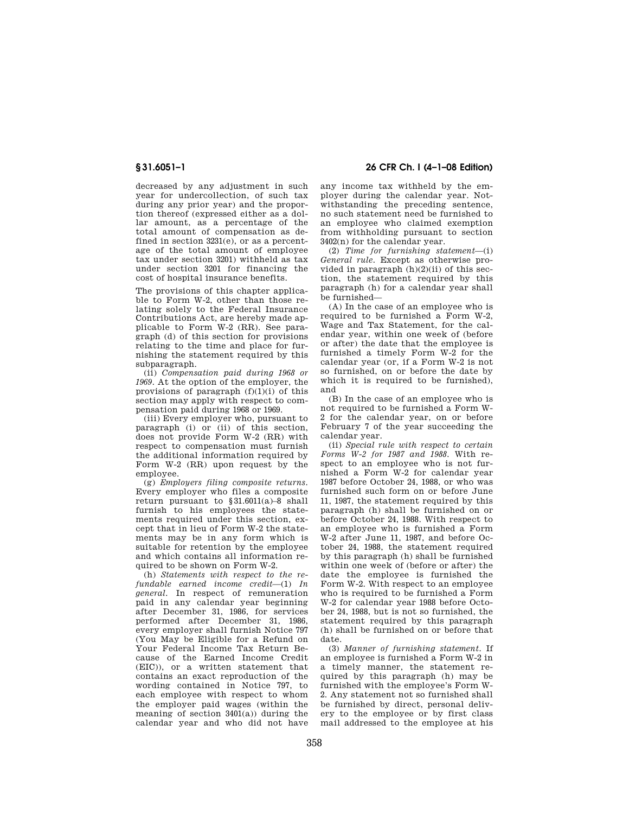decreased by any adjustment in such year for undercollection, of such tax during any prior year) and the proportion thereof (expressed either as a dollar amount, as a percentage of the total amount of compensation as defined in section 3231(e), or as a percentage of the total amount of employee tax under section 3201) withheld as tax under section 3201 for financing the cost of hospital insurance benefits.

The provisions of this chapter applicable to Form W-2, other than those relating solely to the Federal Insurance Contributions Act, are hereby made applicable to Form W-2 (RR). See paragraph (d) of this section for provisions relating to the time and place for furnishing the statement required by this subparagraph.

(ii) *Compensation paid during 1968 or 1969.* At the option of the employer, the provisions of paragraph  $(f)(1)(i)$  of this section may apply with respect to compensation paid during 1968 or 1969.

(iii) Every employer who, pursuant to paragraph (i) or (ii) of this section, does not provide Form W-2 (RR) with respect to compensation must furnish the additional information required by Form W-2 (RR) upon request by the employee.

(g) *Employers filing composite returns.*  Every employer who files a composite return pursuant to §31.6011(a)–8 shall furnish to his employees the statements required under this section, except that in lieu of Form W-2 the statements may be in any form which is suitable for retention by the employee and which contains all information required to be shown on Form W-2.

(h) *Statements with respect to the refundable earned income credit*—(1) *In general.* In respect of remuneration paid in any calendar year beginning after December 31, 1986, for services performed after December 31, 1986, every employer shall furnish Notice 797 (You May be Eligible for a Refund on Your Federal Income Tax Return Because of the Earned Income Credit (EIC)), or a written statement that contains an exact reproduction of the wording contained in Notice 797, to each employee with respect to whom the employer paid wages (within the meaning of section 3401(a)) during the calendar year and who did not have

**§ 31.6051–1 26 CFR Ch. I (4–1–08 Edition)** 

any income tax withheld by the employer during the calendar year. Notwithstanding the preceding sentence, no such statement need be furnished to an employee who claimed exemption from withholding pursuant to section 3402(n) for the calendar year.

(2) *Time for furnishing statement*—(i) *General rule.* Except as otherwise provided in paragraph (h)(2)(ii) of this section, the statement required by this paragraph (h) for a calendar year shall be furnished—

(A) In the case of an employee who is required to be furnished a Form W-2, Wage and Tax Statement, for the calendar year, within one week of (before or after) the date that the employee is furnished a timely Form W-2 for the calendar year (or, if a Form W-2 is not so furnished, on or before the date by which it is required to be furnished), and

(B) In the case of an employee who is not required to be furnished a Form W-2 for the calendar year, on or before February 7 of the year succeeding the calendar year.

(ii) *Special rule with respect to certain Forms W-2 for 1987 and 1988.* With respect to an employee who is not furnished a Form W-2 for calendar year 1987 before October 24, 1988, or who was furnished such form on or before June 11, 1987, the statement required by this paragraph (h) shall be furnished on or before October 24, 1988. With respect to an employee who is furnished a Form W-2 after June 11, 1987, and before October 24, 1988, the statement required by this paragraph (h) shall be furnished within one week of (before or after) the date the employee is furnished the Form W-2. With respect to an employee who is required to be furnished a Form W-2 for calendar year 1988 before October 24, 1988, but is not so furnished, the statement required by this paragraph (h) shall be furnished on or before that date.

(3) *Manner of furnishing statement.* If an employee is furnished a Form W-2 in a timely manner, the statement required by this paragraph (h) may be furnished with the employee's Form W-2. Any statement not so furnished shall be furnished by direct, personal delivery to the employee or by first class mail addressed to the employee at his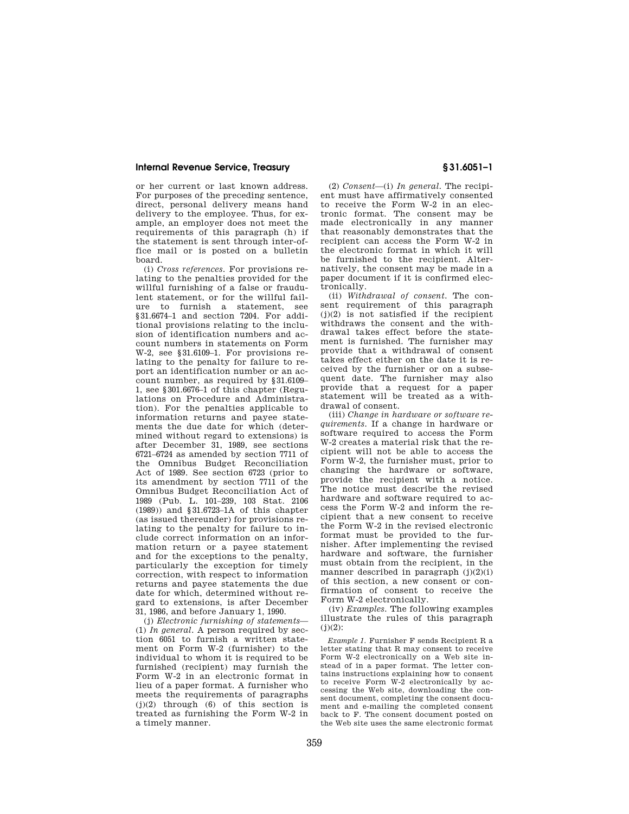or her current or last known address. For purposes of the preceding sentence, direct, personal delivery means hand delivery to the employee. Thus, for example, an employer does not meet the requirements of this paragraph (h) if the statement is sent through inter-office mail or is posted on a bulletin board.

(i) *Cross references.* For provisions relating to the penalties provided for the willful furnishing of a false or fraudulent statement, or for the willful failure to furnish a statement, see §31.6674–1 and section 7204. For additional provisions relating to the inclusion of identification numbers and account numbers in statements on Form W-2, see §31.6109–1. For provisions relating to the penalty for failure to report an identification number or an account number, as required by §31.6109– 1, see §301.6676–1 of this chapter (Regulations on Procedure and Administration). For the penalties applicable to information returns and payee statements the due date for which (determined without regard to extensions) is after December 31, 1989, see sections 6721–6724 as amended by section 7711 of the Omnibus Budget Reconciliation Act of 1989. See section 6723 (prior to its amendment by section 7711 of the Omnibus Budget Reconciliation Act of 1989 (Pub. L. 101–239, 103 Stat. 2106 (1989)) and §31.6723–1A of this chapter (as issued thereunder) for provisions relating to the penalty for failure to include correct information on an information return or a payee statement and for the exceptions to the penalty, particularly the exception for timely correction, with respect to information returns and payee statements the due date for which, determined without regard to extensions, is after December 31, 1986, and before January 1, 1990.

(j) *Electronic furnishing of statements*— (1) *In general.* A person required by section 6051 to furnish a written statement on Form W-2 (furnisher) to the individual to whom it is required to be furnished (recipient) may furnish the Form W-2 in an electronic format in lieu of a paper format. A furnisher who meets the requirements of paragraphs  $(j)(2)$  through  $(6)$  of this section is treated as furnishing the Form W-2 in a timely manner.

(2) *Consent*—(i) *In general.* The recipient must have affirmatively consented to receive the Form W-2 in an electronic format. The consent may be made electronically in any manner that reasonably demonstrates that the recipient can access the Form W-2 in the electronic format in which it will be furnished to the recipient. Alternatively, the consent may be made in a paper document if it is confirmed electronically.

(ii) *Withdrawal of consent.* The consent requirement of this paragraph  $(j)(2)$  is not satisfied if the recipient withdraws the consent and the withdrawal takes effect before the statement is furnished. The furnisher may provide that a withdrawal of consent takes effect either on the date it is received by the furnisher or on a subsequent date. The furnisher may also provide that a request for a paper statement will be treated as a withdrawal of consent.

(iii) *Change in hardware or software requirements.* If a change in hardware or software required to access the Form W-2 creates a material risk that the recipient will not be able to access the Form W-2, the furnisher must, prior to changing the hardware or software, provide the recipient with a notice. The notice must describe the revised hardware and software required to access the Form W-2 and inform the recipient that a new consent to receive the Form W-2 in the revised electronic format must be provided to the furnisher. After implementing the revised hardware and software, the furnisher must obtain from the recipient, in the manner described in paragraph (j)(2)(i) of this section, a new consent or confirmation of consent to receive the Form W-2 electronically.

(iv) *Examples.* The following examples illustrate the rules of this paragraph  $(j)(2)$ :

*Example 1.* Furnisher F sends Recipient R a letter stating that R may consent to receive Form W-2 electronically on a Web site instead of in a paper format. The letter contains instructions explaining how to consent to receive Form W-2 electronically by accessing the Web site, downloading the consent document, completing the consent document and e-mailing the completed consent back to F. The consent document posted on the Web site uses the same electronic format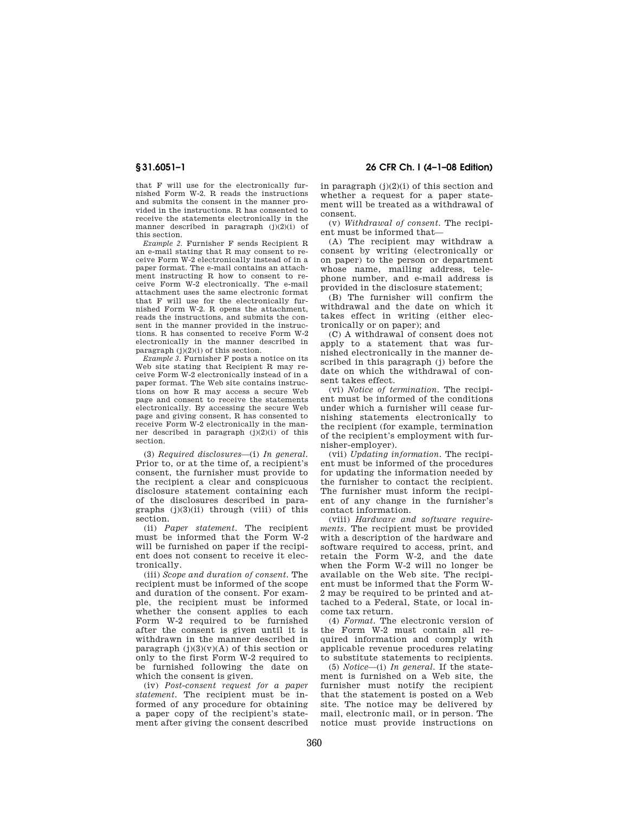that F will use for the electronically furnished Form W-2. R reads the instructions and submits the consent in the manner provided in the instructions. R has consented to receive the statements electronically in the manner described in paragraph  $(j)(2)(i)$  of this section.

*Example 2.* Furnisher F sends Recipient R an e-mail stating that R may consent to receive Form W-2 electronically instead of in a paper format. The e-mail contains an attachment instructing R how to consent to receive Form W-2 electronically. The e-mail attachment uses the same electronic format that F will use for the electronically furnished Form W-2. R opens the attachment, reads the instructions, and submits the consent in the manner provided in the instructions. R has consented to receive Form W-2 electronically in the manner described in paragraph  $(j)(2)(i)$  of this section.

*Example 3.* Furnisher F posts a notice on its Web site stating that Recipient R may receive Form W-2 electronically instead of in a paper format. The Web site contains instructions on how R may access a secure Web page and consent to receive the statements electronically. By accessing the secure Web page and giving consent, R has consented to receive Form W-2 electronically in the manner described in paragraph (j)(2)(i) of this section.

(3) *Required disclosures*—(i) *In general.*  Prior to, or at the time of, a recipient's consent, the furnisher must provide to the recipient a clear and conspicuous disclosure statement containing each of the disclosures described in paragraphs  $(j)(3)(ii)$  through (viii) of this section.

(ii) *Paper statement.* The recipient must be informed that the Form W-2 will be furnished on paper if the recipient does not consent to receive it electronically.

(iii) *Scope and duration of consent.* The recipient must be informed of the scope and duration of the consent. For example, the recipient must be informed whether the consent applies to each Form W-2 required to be furnished after the consent is given until it is withdrawn in the manner described in paragraph  $(j)(3)(v)(A)$  of this section or only to the first Form W-2 required to be furnished following the date on which the consent is given.

(iv) *Post-consent request for a paper statement.* The recipient must be informed of any procedure for obtaining a paper copy of the recipient's statement after giving the consent described

**§ 31.6051–1 26 CFR Ch. I (4–1–08 Edition)** 

in paragraph  $(j)(2)(i)$  of this section and whether a request for a paper statement will be treated as a withdrawal of consent.

(v) *Withdrawal of consent.* The recipient must be informed that—

(A) The recipient may withdraw a consent by writing (electronically or on paper) to the person or department whose name, mailing address, telephone number, and e-mail address is provided in the disclosure statement;

(B) The furnisher will confirm the withdrawal and the date on which it takes effect in writing (either electronically or on paper); and

(C) A withdrawal of consent does not apply to a statement that was furnished electronically in the manner described in this paragraph (j) before the date on which the withdrawal of consent takes effect.

(vi) *Notice of termination.* The recipient must be informed of the conditions under which a furnisher will cease furnishing statements electronically to the recipient (for example, termination of the recipient's employment with furnisher-employer).

(vii) *Updating information.* The recipient must be informed of the procedures for updating the information needed by the furnisher to contact the recipient. The furnisher must inform the recipient of any change in the furnisher's contact information.

(viii) *Hardware and software requirements.* The recipient must be provided with a description of the hardware and software required to access, print, and retain the Form W-2, and the date when the Form W-2 will no longer be available on the Web site. The recipient must be informed that the Form W-2 may be required to be printed and attached to a Federal, State, or local income tax return.

(4) *Format.* The electronic version of the Form W-2 must contain all required information and comply with applicable revenue procedures relating to substitute statements to recipients.

(5) *Notice*—(i) *In general.* If the statement is furnished on a Web site, the furnisher must notify the recipient that the statement is posted on a Web site. The notice may be delivered by mail, electronic mail, or in person. The notice must provide instructions on